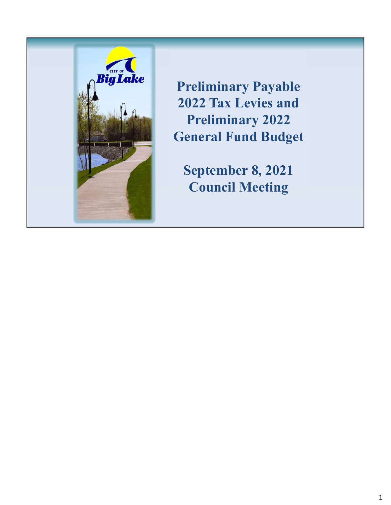

**Preliminary Payable 2022 Tax Levies and Preliminary 2022 General Fund Budget**

**September 8, 2021 Council Meeting**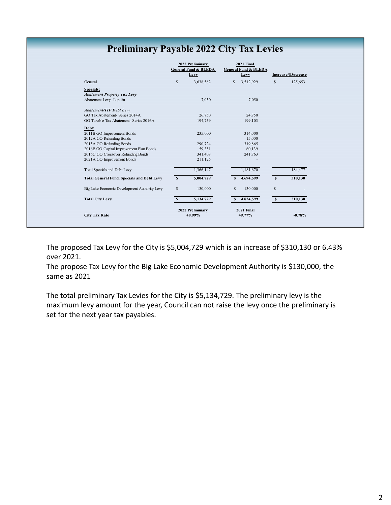## **Preliminary Payable 2022 City Tax Levies**

|                                                   |              | 2022 Preliminary<br><b>General Fund &amp; BLEDA</b> |              | 2021 Final<br><b>General Fund &amp; BLEDA</b> |              |                    |
|---------------------------------------------------|--------------|-----------------------------------------------------|--------------|-----------------------------------------------|--------------|--------------------|
|                                                   |              | Levy                                                |              | Levy                                          |              | Increase/(Decrease |
| General                                           | $\mathbb{S}$ | 3,638,582                                           | $\mathbf{s}$ | 3,512,929                                     | $\mathbf S$  | 125,653            |
| Specials:                                         |              |                                                     |              |                                               |              |                    |
| <b>Abatement Property Tax Levy</b>                |              |                                                     |              |                                               |              |                    |
| Abatement Levy- Lupulin                           |              | 7,050                                               |              | 7,050                                         |              |                    |
| <b>Abatement/TIF Debt Levy</b>                    |              |                                                     |              |                                               |              |                    |
| GO Tax Abatement- Series 2014A                    |              | 26,750                                              |              | 24,750                                        |              |                    |
| GO Taxable Tax Abatement- Series 2016A            |              | 194,739                                             |              | 199,103                                       |              |                    |
| Debt:                                             |              |                                                     |              |                                               |              |                    |
| 2011B GO Improvement Bonds                        |              | 235,000                                             |              | 314,000                                       |              |                    |
| 2012A GO Refunding Bonds                          |              |                                                     |              | 15,000                                        |              |                    |
| 2015A GO Refunding Bonds                          |              | 290,724                                             |              | 319,865                                       |              |                    |
| 2016B GO Capital Improvement Plan Bonds           |              | 59,351                                              |              | 60,139                                        |              |                    |
| 2016C GO Crossover Refunding Bonds                |              | 341,408                                             |              | 241,763                                       |              |                    |
| 2021A GO Improvement Bonds                        |              | 211,125                                             |              |                                               |              |                    |
| Total Specials and Debt Levy                      |              | 1,366,147                                           |              | 1,181,670                                     |              | 184,477            |
| <b>Total General Fund, Specials and Debt Levy</b> | $\mathbf{s}$ | 5,004,729                                           | S            | 4,694,599                                     | $\mathbf{s}$ | 310,130            |
| Big Lake Economic Development Authority Levy      | $\mathbb{S}$ | 130,000                                             | S            | 130,000                                       | $\mathbb{S}$ |                    |
| <b>Total City Levy</b>                            | S            | 5,134,729                                           | S            | 4,824,599                                     | $\mathbf{s}$ | 310,130            |
|                                                   |              | 2022 Preliminary                                    |              | 2021 Final                                    |              |                    |
| <b>City Tax Rate</b>                              |              | 48.99%                                              |              | 49.77%                                        |              | $-0.78%$           |

The proposed Tax Levy for the City is \$5,004,729 which is an increase of \$310,130 or 6.43% over 2021.

The propose Tax Levy for the Big Lake Economic Development Authority is \$130,000, the same as 2021

The total preliminary Tax Levies for the City is \$5,134,729. The preliminary levy is the maximum levy amount for the year, Council can not raise the levy once the preliminary is set for the next year tax payables.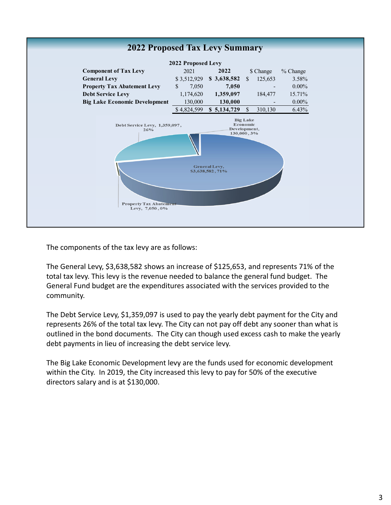

The components of the tax levy are as follows:

The General Levy, \$3,638,582 shows an increase of \$125,653, and represents 71% of the total tax levy. This levy is the revenue needed to balance the general fund budget. The General Fund budget are the expenditures associated with the services provided to the community.

The Debt Service Levy, \$1,359,097 is used to pay the yearly debt payment for the City and represents 26% of the total tax levy. The City can not pay off debt any sooner than what is outlined in the bond documents. The City can though used excess cash to make the yearly debt payments in lieu of increasing the debt service levy.

The Big Lake Economic Development levy are the funds used for economic development within the City. In 2019, the City increased this levy to pay for 50% of the executive directors salary and is at \$130,000.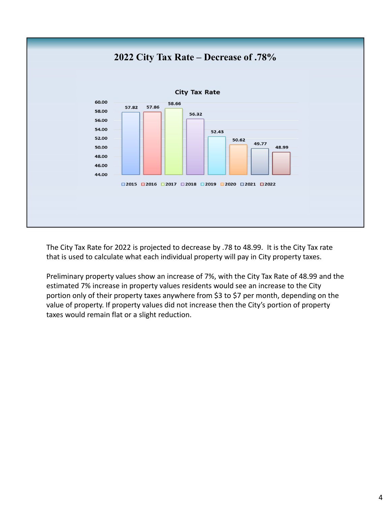

The City Tax Rate for 2022 is projected to decrease by .78 to 48.99. It is the City Tax rate that is used to calculate what each individual property will pay in City property taxes.

Preliminary property values show an increase of 7%, with the City Tax Rate of 48.99 and the estimated 7% increase in property values residents would see an increase to the City portion only of their property taxes anywhere from \$3 to \$7 per month, depending on the value of property. If property values did not increase then the City's portion of property taxes would remain flat or a slight reduction.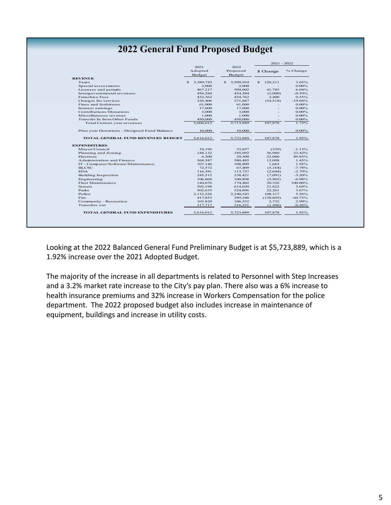## **2022 General Fund Proposed Budget**

|                                              |                           |                            | $2021 - 2022$ |           |  |
|----------------------------------------------|---------------------------|----------------------------|---------------|-----------|--|
|                                              | 2021<br>Adopted<br>Budget | 2022<br>Proposed<br>Budget | \$ Change     | % Change  |  |
| <b>REVENUE</b>                               |                           |                            |               |           |  |
| Taxes                                        | 3,389,743<br>\$           | \$<br>3,509,954            | S.<br>120,211 | 3.65%     |  |
| Special assessments                          | 2.000                     | 2.000                      |               | $0.00\%$  |  |
| Licenses and permits                         | 467,217                   | 509,002                    | 41,785        | 6.04%     |  |
| Intergovernmental revenues                   | 456,284                   | 454,284                    | (2,000)       | $-0.39%$  |  |
| <b>Franchise Fees</b>                        | 432,362                   | 434,762                    | 2,400         | 0.55%     |  |
| Charges for services                         | 326,406                   | 271,887                    | (54, 518)     | $-19.04%$ |  |
| Fines and forfeitures                        | 61,000                    | 61,000                     |               | $0.00\%$  |  |
| Interest earnings                            | 17,000                    | 17,000                     |               | $0.00\%$  |  |
| Contributions/Donations                      | 3.000                     | 3.000                      |               | $0.00\%$  |  |
| Miscellaneous revenue                        | 1,000                     | 1,000                      |               | $0.00\%$  |  |
| Transfer In from Other Funds                 | 450,000                   | 450,000                    |               | $0.00\%$  |  |
| Total Current year revenues                  | 5,606,012                 | 5,713,889                  | 107,878       | 1.73%     |  |
| Prior year Donations - Designed Fund Balance | 10,000                    | 10,000                     |               | $0.00\%$  |  |
| <b>TOTAL GENERAL FUND REVENUES BUDGET</b>    | 5,616,012                 | 5,723,889                  | 107.878       | 1.92%     |  |
| <b>EXPENDITURES</b>                          |                           |                            |               |           |  |
| Mayor/Council                                | 34.196                    | 33,857                     | (339)         | $-1.13%$  |  |
| Planning and Zoning                          | 148.132                   | 185,092                    | 36,960        | 23.42%    |  |
| Elections                                    | 6.300                     | 29,300                     | 23,000        | 89.83%    |  |
| Administration and Finance                   | 568,387                   | 580,485                    | 12,098        | 1.43%     |  |
| IT - Computer/Software/Maintenance           | 107,146                   | 108,809                    | 1.663         | 1.92%     |  |
| <b>BLCSC</b>                                 | 72,572                    | 67,409                     | (5,164)       | $-7.78%$  |  |
| <b>EDA</b>                                   | 116,381                   | 113.737                    | (2,644)       | $-2.79%$  |  |
| Building Inspection                          | 245.512                   | 238.421                    | (7,091)       | $-3.20%$  |  |
| Engineering                                  | 106,860                   | 100,898                    | (5,962)       | $-6.98%$  |  |
| Fleet Maintenance                            | 144,076                   | 174,402                    | 30,326        | 100.00%   |  |
| <b>Streets</b>                               | 592,198                   | 614,020                    | 21,822        | 3.69%     |  |
| Parks                                        | 502,635                   | 524,896                    | 22,261        | 3.67%     |  |
| Police                                       | 2,132,226                 | 2,240,543                  | 108,317       | 5.26%     |  |
| Fire.                                        | 417,853                   | 289,248                    | (128, 605)    | $-44.73%$ |  |
| Community - Recreation                       | 103,820                   | 106,552                    | 2.732         | 2.99%     |  |
| Transfers out                                | 317,717                   | 316,221                    | (1,496)       | $-0.26%$  |  |
|                                              | 5,616,012                 | 5,723,889                  | 107.878       | 1.92%     |  |

Looking at the 2022 Balanced General Fund Preliminary Budget is at \$5,723,889, which is a 1.92% increase over the 2021 Adopted Budget.

The majority of the increase in all departments is related to Personnel with Step Increases and a 3.2% market rate increase to the City's pay plan. There also was a 6% increase to health insurance premiums and 32% increase in Workers Compensation for the police department. The 2022 proposed budget also includes increase in maintenance of equipment, buildings and increase in utility costs.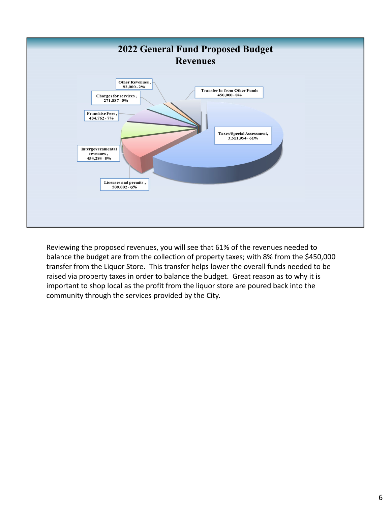

Reviewing the proposed revenues, you will see that 61% of the revenues needed to balance the budget are from the collection of property taxes; with 8% from the \$450,000 transfer from the Liquor Store. This transfer helps lower the overall funds needed to be raised via property taxes in order to balance the budget. Great reason as to why it is important to shop local as the profit from the liquor store are poured back into the community through the services provided by the City.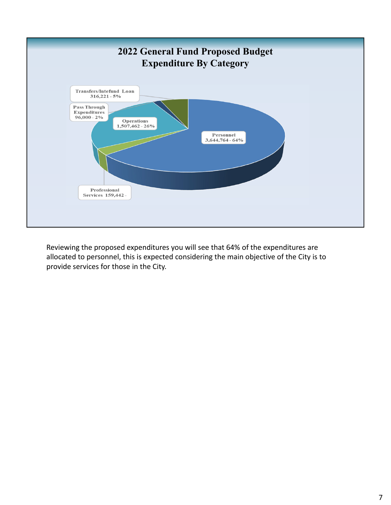

Reviewing the proposed expenditures you will see that 64% of the expenditures are allocated to personnel, this is expected considering the main objective of the City is to provide services for those in the City.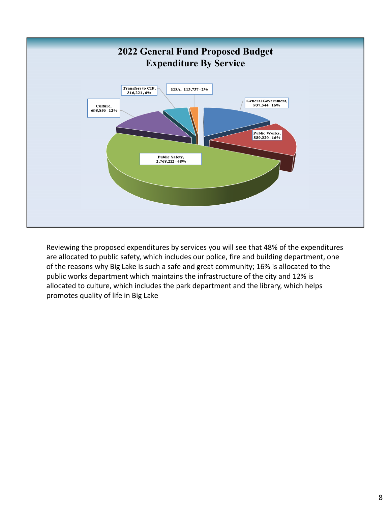

Reviewing the proposed expenditures by services you will see that 48% of the expenditures are allocated to public safety, which includes our police, fire and building department, one of the reasons why Big Lake is such a safe and great community; 16% is allocated to the public works department which maintains the infrastructure of the city and 12% is allocated to culture, which includes the park department and the library, which helps promotes quality of life in Big Lake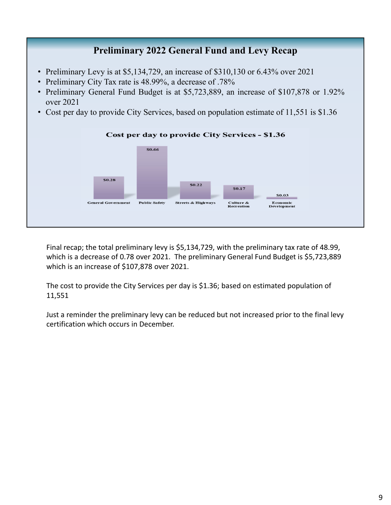## **Preliminary 2022 General Fund and Levy Recap**

- Preliminary Levy is at \$5,134,729, an increase of \$310,130 or 6.43% over 2021
- Preliminary City Tax rate is 48.99%, a decrease of .78%
- Preliminary General Fund Budget is at \$5,723,889, an increase of \$107,878 or 1.92% over 2021
- Cost per day to provide City Services, based on population estimate of 11,551 is \$1.36



Final recap; the total preliminary levy is \$5,134,729, with the preliminary tax rate of 48.99, which is a decrease of 0.78 over 2021. The preliminary General Fund Budget is \$5,723,889 which is an increase of \$107,878 over 2021.

The cost to provide the City Services per day is \$1.36; based on estimated population of 11,551

Just a reminder the preliminary levy can be reduced but not increased prior to the final levy certification which occurs in December.